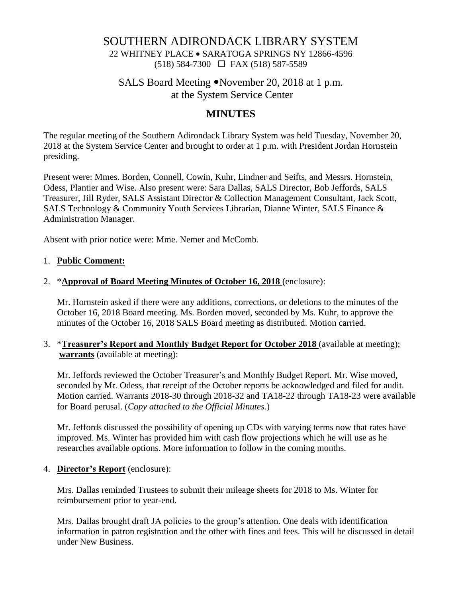## SOUTHERN ADIRONDACK LIBRARY SYSTEM

22 WHITNEY PLACE • SARATOGA SPRINGS NY 12866-4596 (518) 584-7300 FAX (518) 587-5589

# SALS Board Meeting • November 20, 2018 at 1 p.m. at the System Service Center

# **MINUTES**

The regular meeting of the Southern Adirondack Library System was held Tuesday, November 20, 2018 at the System Service Center and brought to order at 1 p.m. with President Jordan Hornstein presiding.

Present were: Mmes. Borden, Connell, Cowin, Kuhr, Lindner and Seifts, and Messrs. Hornstein, Odess, Plantier and Wise. Also present were: Sara Dallas, SALS Director, Bob Jeffords, SALS Treasurer, Jill Ryder, SALS Assistant Director & Collection Management Consultant, Jack Scott, SALS Technology & Community Youth Services Librarian, Dianne Winter, SALS Finance & Administration Manager.

Absent with prior notice were: Mme. Nemer and McComb.

#### 1. **Public Comment:**

#### 2. \***Approval of Board Meeting Minutes of October 16, 2018** (enclosure):

Mr. Hornstein asked if there were any additions, corrections, or deletions to the minutes of the October 16, 2018 Board meeting. Ms. Borden moved, seconded by Ms. Kuhr, to approve the minutes of the October 16, 2018 SALS Board meeting as distributed. Motion carried.

#### 3. \***Treasurer's Report and Monthly Budget Report for October 2018** (available at meeting); **warrants** (available at meeting):

Mr. Jeffords reviewed the October Treasurer's and Monthly Budget Report. Mr. Wise moved, seconded by Mr. Odess, that receipt of the October reports be acknowledged and filed for audit. Motion carried. Warrants 2018-30 through 2018-32 and TA18-22 through TA18-23 were available for Board perusal. (*Copy attached to the Official Minutes.*)

Mr. Jeffords discussed the possibility of opening up CDs with varying terms now that rates have improved. Ms. Winter has provided him with cash flow projections which he will use as he researches available options. More information to follow in the coming months.

### 4. **Director's Report** (enclosure):

Mrs. Dallas reminded Trustees to submit their mileage sheets for 2018 to Ms. Winter for reimbursement prior to year-end.

Mrs. Dallas brought draft JA policies to the group's attention. One deals with identification information in patron registration and the other with fines and fees. This will be discussed in detail under New Business.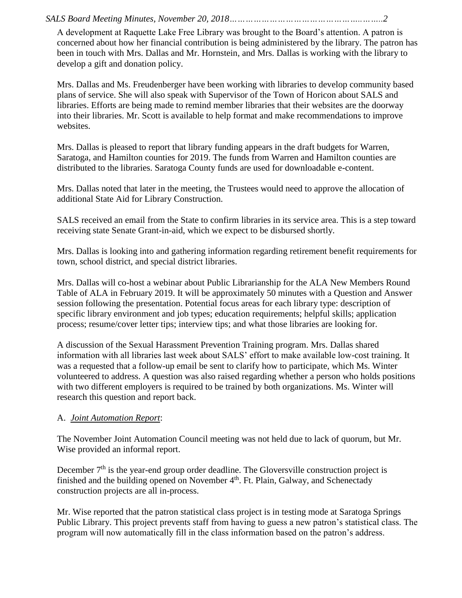*SALS Board Meeting Minutes, November 20, 2018…………………………………………..……..2*

A development at Raquette Lake Free Library was brought to the Board's attention. A patron is concerned about how her financial contribution is being administered by the library. The patron has been in touch with Mrs. Dallas and Mr. Hornstein, and Mrs. Dallas is working with the library to develop a gift and donation policy.

Mrs. Dallas and Ms. Freudenberger have been working with libraries to develop community based plans of service. She will also speak with Supervisor of the Town of Horicon about SALS and libraries. Efforts are being made to remind member libraries that their websites are the doorway into their libraries. Mr. Scott is available to help format and make recommendations to improve websites.

Mrs. Dallas is pleased to report that library funding appears in the draft budgets for Warren, Saratoga, and Hamilton counties for 2019. The funds from Warren and Hamilton counties are distributed to the libraries. Saratoga County funds are used for downloadable e-content.

Mrs. Dallas noted that later in the meeting, the Trustees would need to approve the allocation of additional State Aid for Library Construction.

SALS received an email from the State to confirm libraries in its service area. This is a step toward receiving state Senate Grant-in-aid, which we expect to be disbursed shortly.

Mrs. Dallas is looking into and gathering information regarding retirement benefit requirements for town, school district, and special district libraries.

Mrs. Dallas will co-host a webinar about Public Librarianship for the ALA New Members Round Table of ALA in February 2019. It will be approximately 50 minutes with a Question and Answer session following the presentation. Potential focus areas for each library type: description of specific library environment and job types; education requirements; helpful skills; application process; resume/cover letter tips; interview tips; and what those libraries are looking for.

A discussion of the Sexual Harassment Prevention Training program. Mrs. Dallas shared information with all libraries last week about SALS' effort to make available low-cost training. It was a requested that a follow-up email be sent to clarify how to participate, which Ms. Winter volunteered to address. A question was also raised regarding whether a person who holds positions with two different employers is required to be trained by both organizations. Ms. Winter will research this question and report back.

# A. *Joint Automation Report*:

The November Joint Automation Council meeting was not held due to lack of quorum, but Mr. Wise provided an informal report.

December  $7<sup>th</sup>$  is the year-end group order deadline. The Gloversville construction project is finished and the building opened on November 4<sup>th</sup>. Ft. Plain, Galway, and Schenectady construction projects are all in-process.

Mr. Wise reported that the patron statistical class project is in testing mode at Saratoga Springs Public Library. This project prevents staff from having to guess a new patron's statistical class. The program will now automatically fill in the class information based on the patron's address.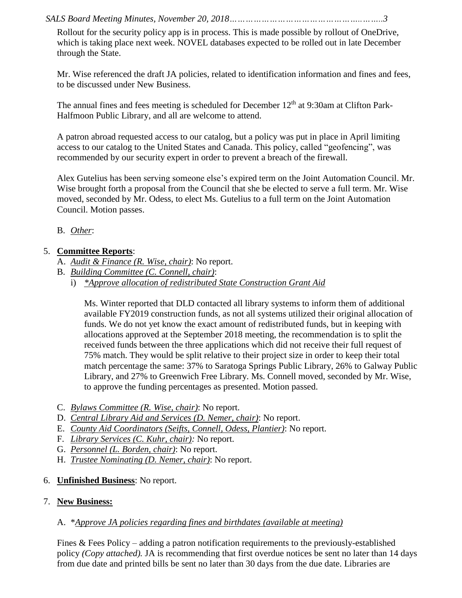*SALS Board Meeting Minutes, November 20, 2018…………………………………………..……..3*

Rollout for the security policy app is in process. This is made possible by rollout of OneDrive, which is taking place next week. NOVEL databases expected to be rolled out in late December through the State.

Mr. Wise referenced the draft JA policies, related to identification information and fines and fees, to be discussed under New Business.

The annual fines and fees meeting is scheduled for December  $12<sup>th</sup>$  at 9:30am at Clifton Park-Halfmoon Public Library, and all are welcome to attend.

A patron abroad requested access to our catalog, but a policy was put in place in April limiting access to our catalog to the United States and Canada. This policy, called "geofencing", was recommended by our security expert in order to prevent a breach of the firewall.

Alex Gutelius has been serving someone else's expired term on the Joint Automation Council. Mr. Wise brought forth a proposal from the Council that she be elected to serve a full term. Mr. Wise moved, seconded by Mr. Odess, to elect Ms. Gutelius to a full term on the Joint Automation Council. Motion passes.

## B. *Other*:

## 5. **Committee Reports**:

- A. *Audit & Finance (R. Wise, chair)*: No report.
- B. *Building Committee (C. Connell, chair)*:
	- i) *\*Approve allocation of redistributed State Construction Grant Aid*

Ms. Winter reported that DLD contacted all library systems to inform them of additional available FY2019 construction funds, as not all systems utilized their original allocation of funds. We do not yet know the exact amount of redistributed funds, but in keeping with allocations approved at the September 2018 meeting, the recommendation is to split the received funds between the three applications which did not receive their full request of 75% match. They would be split relative to their project size in order to keep their total match percentage the same: 37% to Saratoga Springs Public Library, 26% to Galway Public Library, and 27% to Greenwich Free Library. Ms. Connell moved, seconded by Mr. Wise, to approve the funding percentages as presented. Motion passed.

- C. *Bylaws Committee (R. Wise, chair)*: No report.
- D. *Central Library Aid and Services (D. Nemer, chair)*: No report.
- E. *County Aid Coordinators (Seifts, Connell, Odess, Plantier)*: No report.
- F. *Library Services (C. Kuhr, chair):* No report.
- G. *Personnel (L. Borden, chair)*: No report.
- H. *Trustee Nominating (D. Nemer, chair)*: No report.
- 6. **Unfinished Business**: No report.

### 7. **New Business:**

### A. \**Approve JA policies regarding fines and birthdates (available at meeting)*

Fines & Fees Policy – adding a patron notification requirements to the previously-established policy *(Copy attached).* JA is recommending that first overdue notices be sent no later than 14 days from due date and printed bills be sent no later than 30 days from the due date. Libraries are